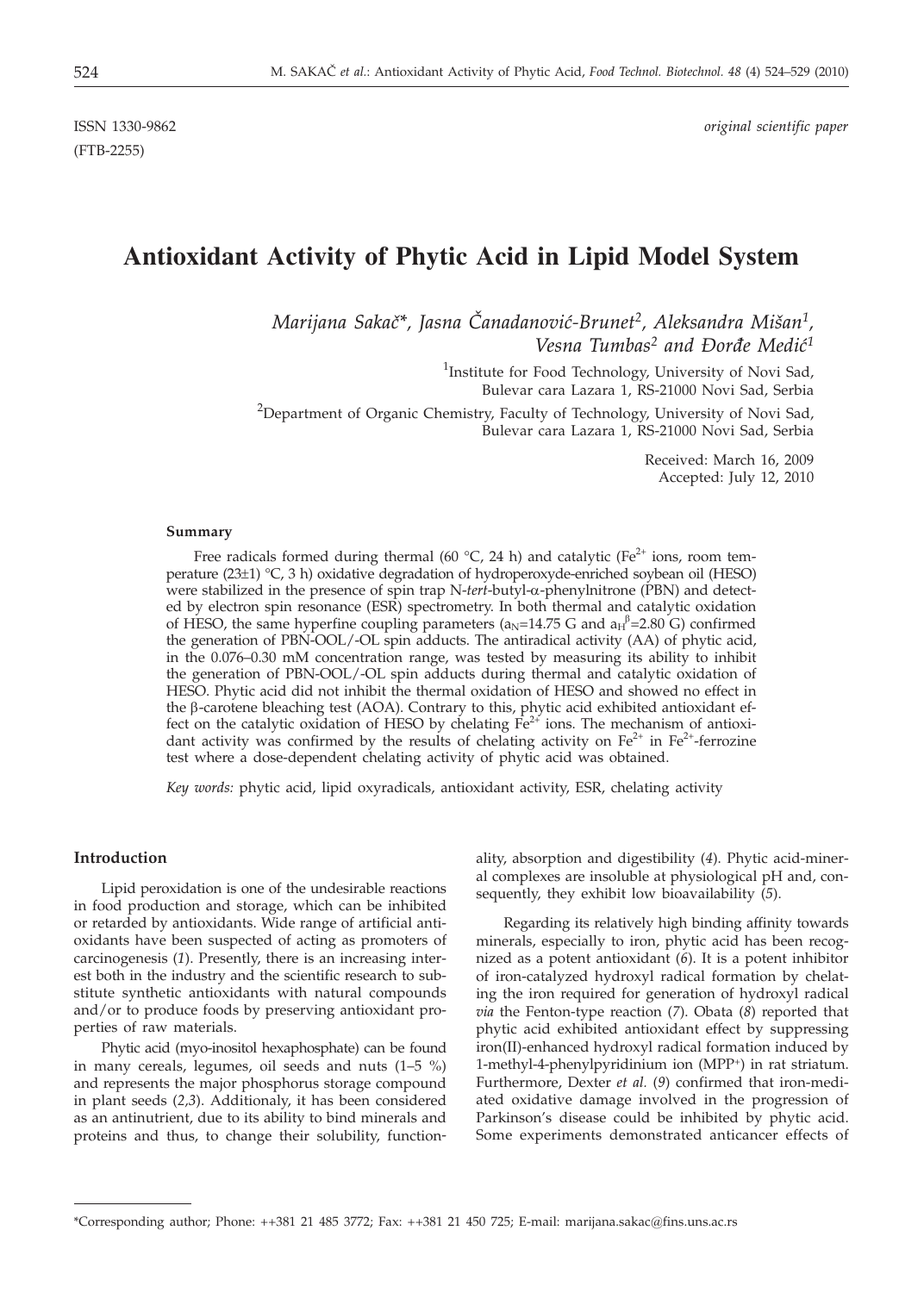(FTB-2255)

ISSN 1330-9862 *original scientific paper*

# **Antioxidant Activity of Phytic Acid in Lipid Model System**

*Marijana Saka~\*, Jasna ^anadanovi}-Brunet2, Aleksandra Mi{an1, Vesna Tumbas<sup>2</sup> and Đorđe Medić<sup>1</sup>* 

> <sup>1</sup>Institute for Food Technology, University of Novi Sad, Bulevar cara Lazara 1, RS-21000 Novi Sad, Serbia

<sup>2</sup>Department of Organic Chemistry, Faculty of Technology, University of Novi Sad, Bulevar cara Lazara 1, RS-21000 Novi Sad, Serbia

> Received: March 16, 2009 Accepted: July 12, 2010

#### **Summary**

Free radicals formed during thermal (60 °C, 24 h) and catalytic (Fe<sup>2+</sup> ions, room temperature (23±1) °C, 3 h) oxidative degradation of hydroperoxyde-enriched soybean oil (HESO) were stabilized in the presence of spin trap N-*tert*-butyl-a-phenylnitrone (PBN) and detected by electron spin resonance (ESR) spectrometry. In both thermal and catalytic oxidation of HESO, the same hyperfine coupling parameters ( $a_N$ =14.75 G and  $a_H$ <sup>p</sup>=2.80 G) confirmed the generation of PBN-OOL/-OL spin adducts. The antiradical activity (AA) of phytic acid, in the 0.076–0.30 mM concentration range, was tested by measuring its ability to inhibit the generation of PBN-OOL/-OL spin adducts during thermal and catalytic oxidation of HESO. Phytic acid did not inhibit the thermal oxidation of HESO and showed no effect in the  $\beta$ -carotene bleaching test (AOA). Contrary to this, phytic acid exhibited antioxidant effect on the catalytic oxidation of HESO by chelating  $Fe^{2+}$  ions. The mechanism of antioxidant activity was confirmed by the results of chelating activity on  $Fe^{2+}$  in  $Fe^{2+}$ -ferrozine test where a dose-dependent chelating activity of phytic acid was obtained.

*Key words:* phytic acid, lipid oxyradicals, antioxidant activity, ESR, chelating activity

# **Introduction**

Lipid peroxidation is one of the undesirable reactions in food production and storage, which can be inhibited or retarded by antioxidants. Wide range of artificial antioxidants have been suspected of acting as promoters of carcinogenesis (*1*). Presently, there is an increasing interest both in the industry and the scientific research to substitute synthetic antioxidants with natural compounds and/or to produce foods by preserving antioxidant properties of raw materials.

Phytic acid (myo-inositol hexaphosphate) can be found in many cereals, legumes, oil seeds and nuts (1–5 %) and represents the major phosphorus storage compound in plant seeds (*2,3*). Additionaly, it has been considered as an antinutrient, due to its ability to bind minerals and proteins and thus, to change their solubility, function-

ality, absorption and digestibility (*4*). Phytic acid-mineral complexes are insoluble at physiological pH and, consequently, they exhibit low bioavailability (*5*).

Regarding its relatively high binding affinity towards minerals, especially to iron, phytic acid has been recognized as a potent antioxidant (*6*). It is a potent inhibitor of iron-catalyzed hydroxyl radical formation by chelating the iron required for generation of hydroxyl radical *via* the Fenton-type reaction (*7*). Obata (*8*) reported that phytic acid exhibited antioxidant effect by suppressing iron(II)-enhanced hydroxyl radical formation induced by 1-methyl-4-phenylpyridinium ion (MPP+) in rat striatum. Furthermore, Dexter *et al.* (*9*) confirmed that iron-mediated oxidative damage involved in the progression of Parkinson's disease could be inhibited by phytic acid. Some experiments demonstrated anticancer effects of

<sup>\*</sup>Corresponding author; Phone: ++381 21 485 3772; Fax: ++381 21 450 725; E-mail: marijana.sakac@fins.uns.ac.rs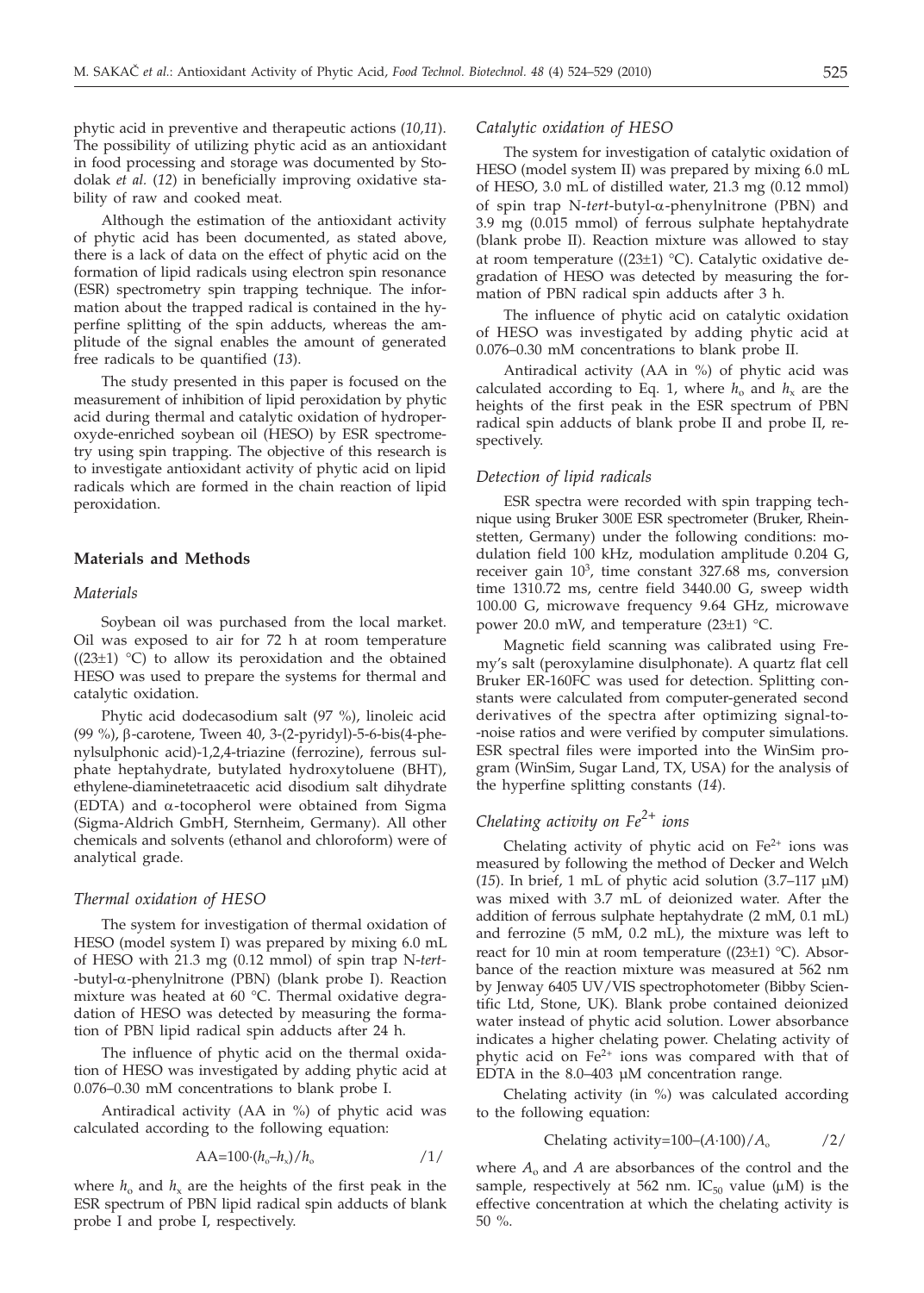phytic acid in preventive and therapeutic actions (*10,11*). The possibility of utilizing phytic acid as an antioxidant in food processing and storage was documented by Stodolak *et al.* (*12*) in beneficially improving oxidative stability of raw and cooked meat.

Although the estimation of the antioxidant activity of phytic acid has been documented, as stated above, there is a lack of data on the effect of phytic acid on the formation of lipid radicals using electron spin resonance (ESR) spectrometry spin trapping technique. The information about the trapped radical is contained in the hyperfine splitting of the spin adducts, whereas the amplitude of the signal enables the amount of generated free radicals to be quantified (*13*).

The study presented in this paper is focused on the measurement of inhibition of lipid peroxidation by phytic acid during thermal and catalytic oxidation of hydroperoxyde-enriched soybean oil (HESO) by ESR spectrometry using spin trapping. The objective of this research is to investigate antioxidant activity of phytic acid on lipid radicals which are formed in the chain reaction of lipid peroxidation.

## **Materials and Methods**

#### *Materials*

Soybean oil was purchased from the local market. Oil was exposed to air for 72 h at room temperature  $((23±1) °C)$  to allow its peroxidation and the obtained HESO was used to prepare the systems for thermal and catalytic oxidation.

Phytic acid dodecasodium salt (97 %), linoleic acid (99 %), b-carotene, Tween 40, 3-(2-pyridyl)-5-6-bis(4-phenylsulphonic acid)-1,2,4-triazine (ferrozine), ferrous sulphate heptahydrate, butylated hydroxytoluene (BHT), ethylene-diaminetetraacetic acid disodium salt dihydrate (EDTA) and  $\alpha$ -tocopherol were obtained from Sigma (Sigma-Aldrich GmbH, Sternheim, Germany). All other chemicals and solvents (ethanol and chloroform) were of analytical grade.

#### *Thermal oxidation of HESO*

The system for investigation of thermal oxidation of HESO (model system I) was prepared by mixing 6.0 mL of HESO with 21.3 mg (0.12 mmol) of spin trap N-*tert-* -butyl-a-phenylnitrone (PBN) (blank probe I). Reaction mixture was heated at 60 °C. Thermal oxidative degradation of HESO was detected by measuring the formation of PBN lipid radical spin adducts after 24 h.

The influence of phytic acid on the thermal oxidation of HESO was investigated by adding phytic acid at 0.076–0.30 mM concentrations to blank probe I.

Antiradical activity (AA in %) of phytic acid was calculated according to the following equation:

$$
AA=100\cdot (h_o-h_x)/h_o
$$

where  $h_0$  and  $h_x$  are the heights of the first peak in the ESR spectrum of PBN lipid radical spin adducts of blank probe I and probe I, respectively.

#### *Catalytic oxidation of HESO*

The system for investigation of catalytic oxidation of HESO (model system II) was prepared by mixing 6.0 mL of HESO, 3.0 mL of distilled water, 21.3 mg (0.12 mmol) of spin trap N-*tert*-butyl-a-phenylnitrone (PBN) and 3.9 mg (0.015 mmol) of ferrous sulphate heptahydrate (blank probe II). Reaction mixture was allowed to stay at room temperature ((23 $\pm$ 1) °C). Catalytic oxidative degradation of HESO was detected by measuring the formation of PBN radical spin adducts after 3 h.

The influence of phytic acid on catalytic oxidation of HESO was investigated by adding phytic acid at 0.076–0.30 mM concentrations to blank probe II.

Antiradical activity (AA in %) of phytic acid was calculated according to Eq. 1, where  $h_0$  and  $h_x$  are the heights of the first peak in the ESR spectrum of PBN radical spin adducts of blank probe II and probe II, respectively.

#### *Detection of lipid radicals*

ESR spectra were recorded with spin trapping technique using Bruker 300E ESR spectrometer (Bruker, Rheinstetten, Germany) under the following conditions: modulation field 100 kHz, modulation amplitude 0.204 G, receiver gain  $10<sup>3</sup>$ , time constant 327.68 ms, conversion time 1310.72 ms, centre field 3440.00 G, sweep width 100.00 G, microwave frequency 9.64 GHz, microwave power 20.0 mW, and temperature (23±1) °C.

Magnetic field scanning was calibrated using Fremy's salt (peroxylamine disulphonate). A quartz flat cell Bruker ER-160FC was used for detection. Splitting constants were calculated from computer-generated second derivatives of the spectra after optimizing signal-to- -noise ratios and were verified by computer simulations. ESR spectral files were imported into the WinSim program (WinSim, Sugar Land, TX, USA) for the analysis of the hyperfine splitting constants (*14*).

# *Chelating activity on Fe2+ ions*

Chelating activity of phytic acid on  $Fe<sup>2+</sup>$  ions was measured by following the method of Decker and Welch (*15*). In brief, 1 mL of phytic acid solution (3.7–117 µM) was mixed with 3.7 mL of deionized water. After the addition of ferrous sulphate heptahydrate (2 mM, 0.1 mL) and ferrozine (5 mM, 0.2 mL), the mixture was left to react for 10 min at room temperature ( $(23±1)$  °C). Absorbance of the reaction mixture was measured at 562 nm by Jenway 6405 UV/VIS spectrophotometer (Bibby Scientific Ltd, Stone, UK). Blank probe contained deionized water instead of phytic acid solution. Lower absorbance indicates a higher chelating power. Chelating activity of phytic acid on  $Fe<sup>2+</sup>$  ions was compared with that of EDTA in the 8.0–403 µM concentration range.

Chelating activity (in %) was calculated according to the following equation:

Chelating activity=100–
$$
(A \cdot 100)/A_0
$$
 /2/

where *A*<sup>o</sup> and *A* are absorbances of the control and the sample, respectively at 562 nm. IC $_{50}$  value ( $\mu$ M) is the effective concentration at which the chelating activity is 50 %.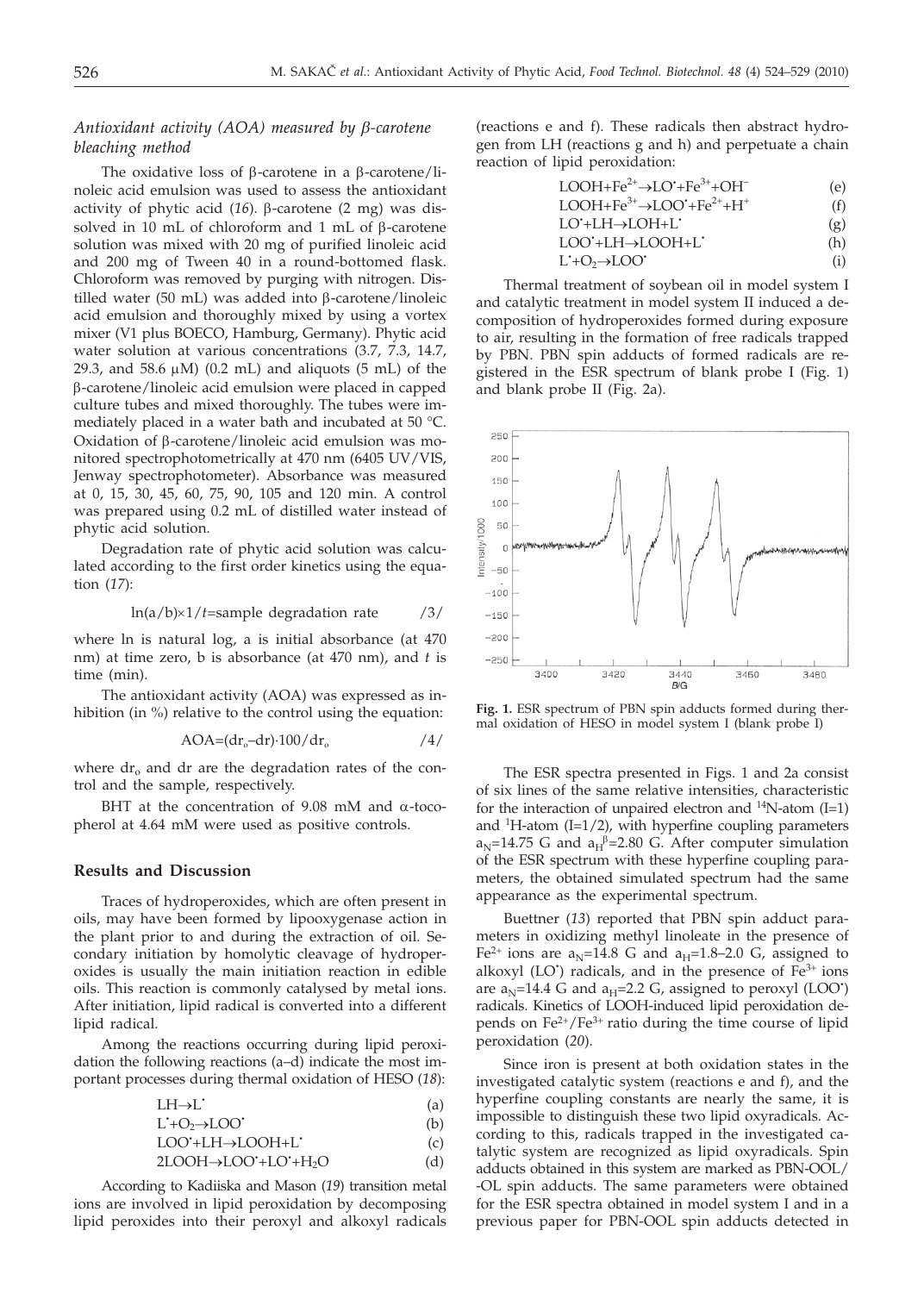# *Antioxidant activity (AOA) measured by b-carotene bleaching method*

The oxidative loss of  $\beta$ -carotene in a  $\beta$ -carotene/linoleic acid emulsion was used to assess the antioxidant activity of phytic acid  $(16)$ .  $\beta$ -carotene  $(2 \text{ mg})$  was dissolved in 10 mL of chloroform and 1 mL of  $\beta$ -carotene solution was mixed with 20 mg of purified linoleic acid and 200 mg of Tween 40 in a round-bottomed flask. Chloroform was removed by purging with nitrogen. Distilled water (50 mL) was added into  $\beta$ -carotene/linoleic acid emulsion and thoroughly mixed by using a vortex mixer (V1 plus BOECO, Hamburg, Germany). Phytic acid water solution at various concentrations (3.7, 7.3, 14.7, 29.3, and 58.6  $\mu$ M) (0.2 mL) and aliguots (5 mL) of the b-carotene/linoleic acid emulsion were placed in capped culture tubes and mixed thoroughly. The tubes were immediately placed in a water bath and incubated at 50 °C. Oxidation of  $\beta$ -carotene/linoleic acid emulsion was monitored spectrophotometrically at 470 nm (6405 UV/VIS, Jenway spectrophotometer). Absorbance was measured at 0, 15, 30, 45, 60, 75, 90, 105 and 120 min. A control was prepared using 0.2 mL of distilled water instead of phytic acid solution.

Degradation rate of phytic acid solution was calculated according to the first order kinetics using the equation (*17*):

$$
\ln(a/b) \times 1/t
$$
=sample degradation rate /3/

where ln is natural log, a is initial absorbance (at 470 nm) at time zero, b is absorbance (at 470 nm), and *t* is time (min).

The antioxidant activity (AOA) was expressed as inhibition (in %) relative to the control using the equation:

$$
AOA = (dr_o - dr) \cdot 100/dr_o
$$

where  $dr_0$  and  $dr$  are the degradation rates of the control and the sample, respectively.

BHT at the concentration of 9.08 mM and  $\alpha$ -tocopherol at 4.64 mM were used as positive controls.

## **Results and Discussion**

Traces of hydroperoxides, which are often present in oils, may have been formed by lipooxygenase action in the plant prior to and during the extraction of oil. Secondary initiation by homolytic cleavage of hydroperoxides is usually the main initiation reaction in edible oils. This reaction is commonly catalysed by metal ions. After initiation, lipid radical is converted into a different lipid radical.

Among the reactions occurring during lipid peroxidation the following reactions (a–d) indicate the most important processes during thermal oxidation of HESO (*18*):

$$
LH \rightarrow L^{\bullet} \tag{a}
$$

$$
LOO^*LH \to LOOH + L
$$
 (b)  
LOO^\*LH \to LOOH + L (c)

$$
2LOOH \rightarrow LOO'+LO'+H_2O
$$
 (d)

According to Kadiiska and Mason (*19*) transition metal ions are involved in lipid peroxidation by decomposing lipid peroxides into their peroxyl and alkoxyl radicals

(reactions e and f). These radicals then abstract hydrogen from LH (reactions g and h) and perpetuate a chain reaction of lipid peroxidation:

$$
LOOH + Fe^{2+} \rightarrow LO^+ + Fe^{3+} + OH^-
$$
 (e)

$$
LOOH + Fe^{3+} \rightarrow LOO^{\star} + Fe^{2+} + H^{+}
$$
 (f)

- LO<sup>•</sup>+LH→LOH+L<sup>•</sup> (g)
- LOO<sup>•</sup>+LH→LOOH+L<sup>•</sup> (h)
- L<sup>+</sup>O<sub>2</sub>→LOO<sup>•</sup> (i)

Thermal treatment of soybean oil in model system I and catalytic treatment in model system II induced a decomposition of hydroperoxides formed during exposure to air, resulting in the formation of free radicals trapped by PBN. PBN spin adducts of formed radicals are registered in the ESR spectrum of blank probe I (Fig. 1) and blank probe II (Fig. 2a).



**Fig. 1.** ESR spectrum of PBN spin adducts formed during thermal oxidation of HESO in model system I (blank probe I)

The ESR spectra presented in Figs. 1 and 2a consist of six lines of the same relative intensities, characteristic for the interaction of unpaired electron and  $14$ N-atom (I=1) and  ${}^{1}$ H-atom (I=1/2), with hyperfine coupling parameters  $a_{\rm N}$ =14.75 G and  $a_{\rm H}$ <sup>β</sup>=2.80 G. After computer simulation of the ESR spectrum with these hyperfine coupling parameters, the obtained simulated spectrum had the same appearance as the experimental spectrum.

Buettner (*13*) reported that PBN spin adduct parameters in oxidizing methyl linoleate in the presence of Fe<sup>2+</sup> ions are a<sub>N</sub>=14.8 G and a<sub>H</sub>=1.8–2.0 G, assigned to alkoxyl (LO<sup>\*</sup>) radicals, and in the presence of Fe<sup>3+</sup> ions are  $a_N$ =14.4 G and  $a_H$ =2.2 G, assigned to peroxyl (LOO<sup>\*</sup>) radicals. Kinetics of LOOH-induced lipid peroxidation depends on Fe2+/Fe3+ ratio during the time course of lipid peroxidation (*20*).

Since iron is present at both oxidation states in the investigated catalytic system (reactions e and f), and the hyperfine coupling constants are nearly the same, it is impossible to distinguish these two lipid oxyradicals. According to this, radicals trapped in the investigated catalytic system are recognized as lipid oxyradicals. Spin adducts obtained in this system are marked as PBN-OOL/ -OL spin adducts. The same parameters were obtained for the ESR spectra obtained in model system I and in a previous paper for PBN-OOL spin adducts detected in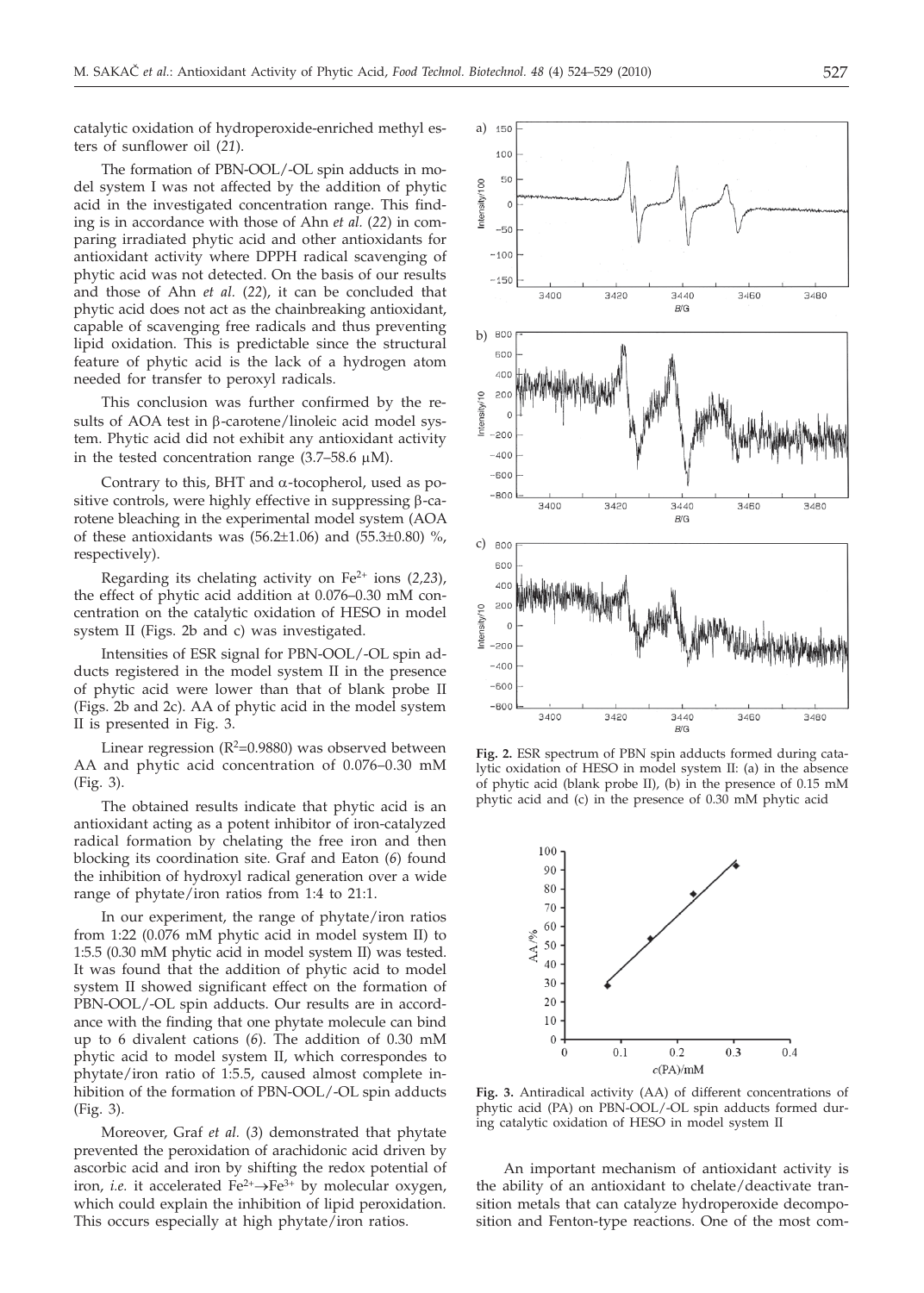catalytic oxidation of hydroperoxide-enriched methyl esters of sunflower oil (*21*).

The formation of PBN-OOL/-OL spin adducts in model system I was not affected by the addition of phytic acid in the investigated concentration range. This finding is in accordance with those of Ahn *et al.* (*22*) in comparing irradiated phytic acid and other antioxidants for antioxidant activity where DPPH radical scavenging of phytic acid was not detected. On the basis of our results and those of Ahn *et al.* (*22*), it can be concluded that phytic acid does not act as the chainbreaking antioxidant, capable of scavenging free radicals and thus preventing lipid oxidation. This is predictable since the structural feature of phytic acid is the lack of a hydrogen atom needed for transfer to peroxyl radicals.

This conclusion was further confirmed by the results of AOA test in  $\beta$ -carotene/linoleic acid model system. Phytic acid did not exhibit any antioxidant activity in the tested concentration range  $(3.7-58.6 \mu M)$ .

Contrary to this, BHT and  $\alpha$ -tocopherol, used as positive controls, were highly effective in suppressing  $\beta$ -carotene bleaching in the experimental model system (AOA of these antioxidants was  $(56.2 \pm 1.06)$  and  $(55.3 \pm 0.80)$  %, respectively).

Regarding its chelating activity on Fe2+ ions (*2,23*), the effect of phytic acid addition at 0.076–0.30 mM concentration on the catalytic oxidation of HESO in model system II (Figs. 2b and c) was investigated.

Intensities of ESR signal for PBN-OOL/-OL spin adducts registered in the model system II in the presence of phytic acid were lower than that of blank probe II (Figs. 2b and 2c). AA of phytic acid in the model system II is presented in Fig. 3.

Linear regression  $(R^2=0.9880)$  was observed between AA and phytic acid concentration of 0.076–0.30 mM (Fig. 3).

The obtained results indicate that phytic acid is an antioxidant acting as a potent inhibitor of iron-catalyzed radical formation by chelating the free iron and then blocking its coordination site. Graf and Eaton (*6*) found the inhibition of hydroxyl radical generation over a wide range of phytate/iron ratios from 1:4 to 21:1.

In our experiment, the range of phytate/iron ratios from 1:22 (0.076 mM phytic acid in model system II) to 1:5.5 (0.30 mM phytic acid in model system II) was tested. It was found that the addition of phytic acid to model system II showed significant effect on the formation of PBN-OOL/-OL spin adducts. Our results are in accordance with the finding that one phytate molecule can bind up to 6 divalent cations (*6*). The addition of 0.30 mM phytic acid to model system II, which correspondes to phytate/iron ratio of 1:5.5, caused almost complete inhibition of the formation of PBN-OOL/-OL spin adducts (Fig. 3).

Moreover, Graf *et al.* (*3*) demonstrated that phytate prevented the peroxidation of arachidonic acid driven by ascorbic acid and iron by shifting the redox potential of iron, *i.e.* it accelerated  $Fe^{2+} \rightarrow Fe^{3+}$  by molecular oxygen, which could explain the inhibition of lipid peroxidation. This occurs especially at high phytate/iron ratios.



**Fig. 2.** ESR spectrum of PBN spin adducts formed during catalytic oxidation of HESO in model system II: (a) in the absence of phytic acid (blank probe II), (b) in the presence of 0.15 mM phytic acid and (c) in the presence of 0.30 mM phytic acid



**Fig. 3.** Antiradical activity (AA) of different concentrations of phytic acid (PA) on PBN-OOL/-OL spin adducts formed during catalytic oxidation of HESO in model system II

An important mechanism of antioxidant activity is the ability of an antioxidant to chelate/deactivate transition metals that can catalyze hydroperoxide decomposition and Fenton-type reactions. One of the most com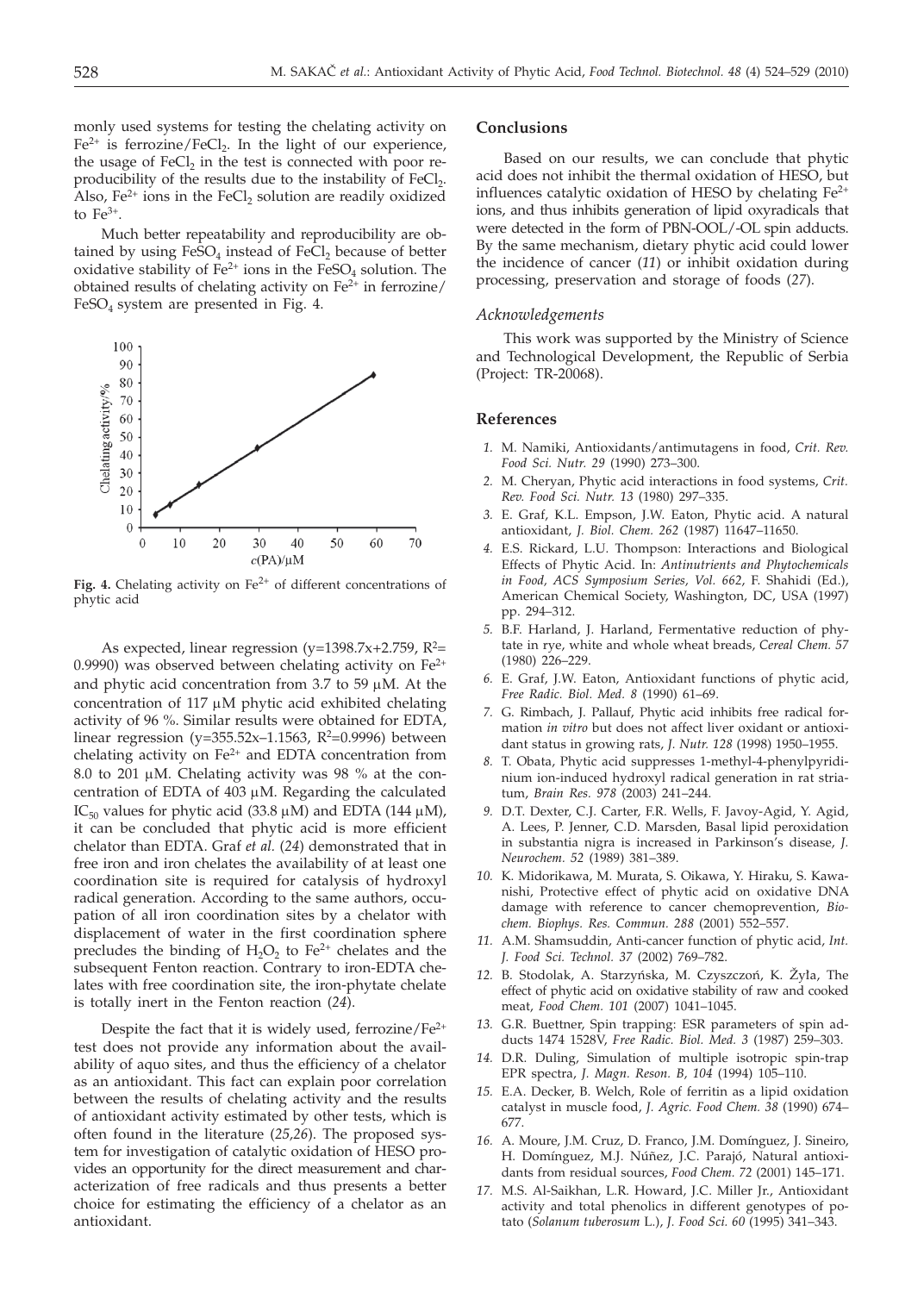monly used systems for testing the chelating activity on  $Fe<sup>2+</sup>$  is ferrozine/FeCl<sub>2</sub>. In the light of our experience, the usage of  $FeCl<sub>2</sub>$  in the test is connected with poor reproducibility of the results due to the instability of  $FeCl<sub>2</sub>$ . Also,  $Fe<sup>2+</sup>$  ions in the FeCl<sub>2</sub> solution are readily oxidized to  $Fe^{3+}$ .

Much better repeatability and reproducibility are obtained by using  $FeSO<sub>4</sub>$  instead of  $FeCl<sub>2</sub>$  because of better oxidative stability of  $Fe^{2+}$  ions in the  $FeSO<sub>4</sub>$  solution. The obtained results of chelating activity on  $Fe<sup>2+</sup>$  in ferrozine/  $FeSO<sub>4</sub>$  system are presented in Fig. 4.



Fig. 4. Chelating activity on  $Fe<sup>2+</sup>$  of different concentrations of phytic acid

As expected, linear regression (y=1398.7x+2.759,  $R^2$ = 0.9990) was observed between chelating activity on  $Fe^{2+}$ and phytic acid concentration from  $3.7$  to  $59 \mu M$ . At the concentration of  $117 \mu M$  phytic acid exhibited chelating activity of 96 %. Similar results were obtained for EDTA, linear regression (y=355.52x–1.1563,  $R^2$ =0.9996) between chelating activity on  $Fe<sup>2+</sup>$  and EDTA concentration from 8.0 to 201  $\mu$ M. Chelating activity was 98 % at the concentration of EDTA of  $403 \mu$ M. Regarding the calculated IC<sub>50</sub> values for phytic acid (33.8  $\mu$ M) and EDTA (144  $\mu$ M), it can be concluded that phytic acid is more efficient chelator than EDTA. Graf *et al.* (*24*) demonstrated that in free iron and iron chelates the availability of at least one coordination site is required for catalysis of hydroxyl radical generation. According to the same authors, occupation of all iron coordination sites by a chelator with displacement of water in the first coordination sphere precludes the binding of  $H_2O_2$  to  $Fe^{2+}$  chelates and the subsequent Fenton reaction. Contrary to iron-EDTA chelates with free coordination site, the iron-phytate chelate is totally inert in the Fenton reaction (*24*).

Despite the fact that it is widely used, ferrozine/ $Fe<sup>2+</sup>$ test does not provide any information about the availability of aquo sites, and thus the efficiency of a chelator as an antioxidant. This fact can explain poor correlation between the results of chelating activity and the results of antioxidant activity estimated by other tests, which is often found in the literature (*25,26*). The proposed system for investigation of catalytic oxidation of HESO provides an opportunity for the direct measurement and characterization of free radicals and thus presents a better choice for estimating the efficiency of a chelator as an antioxidant.

#### **Conclusions**

Based on our results, we can conclude that phytic acid does not inhibit the thermal oxidation of HESO, but influences catalytic oxidation of HESO by chelating  $Fe<sup>2+</sup>$ ions, and thus inhibits generation of lipid oxyradicals that were detected in the form of PBN-OOL/-OL spin adducts. By the same mechanism, dietary phytic acid could lower the incidence of cancer (*11*) or inhibit oxidation during processing, preservation and storage of foods (*27*).

#### *Acknowledgements*

This work was supported by the Ministry of Science and Technological Development, the Republic of Serbia (Project: TR-20068).

## **References**

- *1.* M. Namiki, Antioxidants/antimutagens in food, *Crit. Rev. Food Sci. Nutr. 29* (1990) 273–300.
- *2.* M. Cheryan, Phytic acid interactions in food systems, *Crit. Rev. Food Sci. Nutr. 13* (1980) 297–335.
- *3.* E. Graf, K.L. Empson, J.W. Eaton, Phytic acid. A natural antioxidant, *J. Biol. Chem. 262* (1987) 11647–11650.
- *4.* E.S. Rickard, L.U. Thompson: Interactions and Biological Effects of Phytic Acid. In: *Antinutrients and Phytochemicals in Food, ACS Symposium Series, Vol. 662*, F. Shahidi (Ed.), American Chemical Society, Washington, DC, USA (1997) pp. 294–312.
- *5.* B.F. Harland, J. Harland, Fermentative reduction of phytate in rye, white and whole wheat breads, *Cereal Chem. 57* (1980) 226–229.
- *6.* E. Graf, J.W. Eaton, Antioxidant functions of phytic acid, *Free Radic. Biol. Med. 8* (1990) 61–69.
- *7.* G. Rimbach, J. Pallauf, Phytic acid inhibits free radical formation *in vitro* but does not affect liver oxidant or antioxidant status in growing rats, *J. Nutr. 128* (1998) 1950–1955.
- *8.* T. Obata, Phytic acid suppresses 1-methyl-4-phenylpyridinium ion-induced hydroxyl radical generation in rat striatum, *Brain Res. 978* (2003) 241–244.
- *9.* D.T. Dexter, C.J. Carter, F.R. Wells, F. Javoy-Agid, Y. Agid, A. Lees, P. Jenner, C.D. Marsden, Basal lipid peroxidation in substantia nigra is increased in Parkinson's disease, *J. Neurochem. 52* (1989) 381–389.
- *10.* K. Midorikawa, M. Murata, S. Oikawa, Y. Hiraku, S. Kawanishi, Protective effect of phytic acid on oxidative DNA damage with reference to cancer chemoprevention, *Biochem. Biophys. Res. Commun. 288* (2001) 552–557.
- *11.* A.M. Shamsuddin, Anti-cancer function of phytic acid, *Int. J. Food Sci. Technol. 37* (2002) 769–782.
- 12. B. Stodolak, A. Starzyńska, M. Czyszczoń, K. Žyła, The effect of phytic acid on oxidative stability of raw and cooked meat, *Food Chem. 101* (2007) 1041–1045.
- *13.* G.R. Buettner, Spin trapping: ESR parameters of spin adducts 1474 1528V, *Free Radic. Biol. Med. 3* (1987) 259–303.
- *14.* D.R. Duling, Simulation of multiple isotropic spin-trap EPR spectra, *J. Magn. Reson. B, 104* (1994) 105–110.
- *15.* E.A. Decker, B. Welch, Role of ferritin as a lipid oxidation catalyst in muscle food, *J. Agric. Food Chem. 38* (1990) 674– 677.
- *16.* A. Moure, J.M. Cruz, D. Franco, J.M. Domínguez, J. Sineiro, H. Domínguez, M.J. Núñez, J.C. Parajó, Natural antioxidants from residual sources, *Food Chem. 72* (2001) 145–171.
- *17.* M.S. Al-Saikhan, L.R. Howard, J.C. Miller Jr., Antioxidant activity and total phenolics in different genotypes of potato (*Solanum tuberosum* L.), *J. Food Sci. 60* (1995) 341–343.